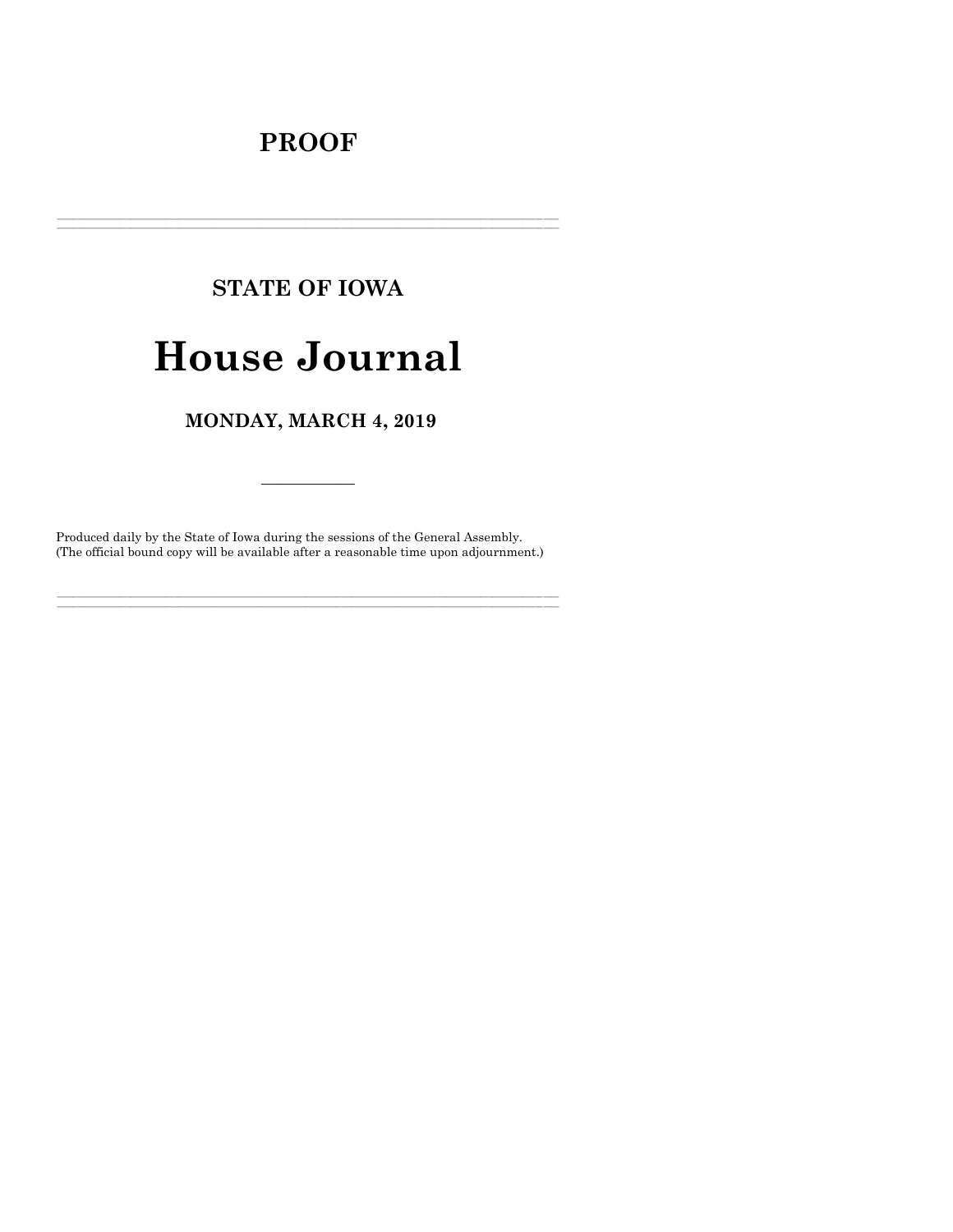# **PROOF**

# **STATE OF IOWA House Journal**

# MONDAY, MARCH 4, 2019

Produced daily by the State of Iowa during the sessions of the General Assembly. (The official bound copy will be available after a reasonable time upon adjournment.)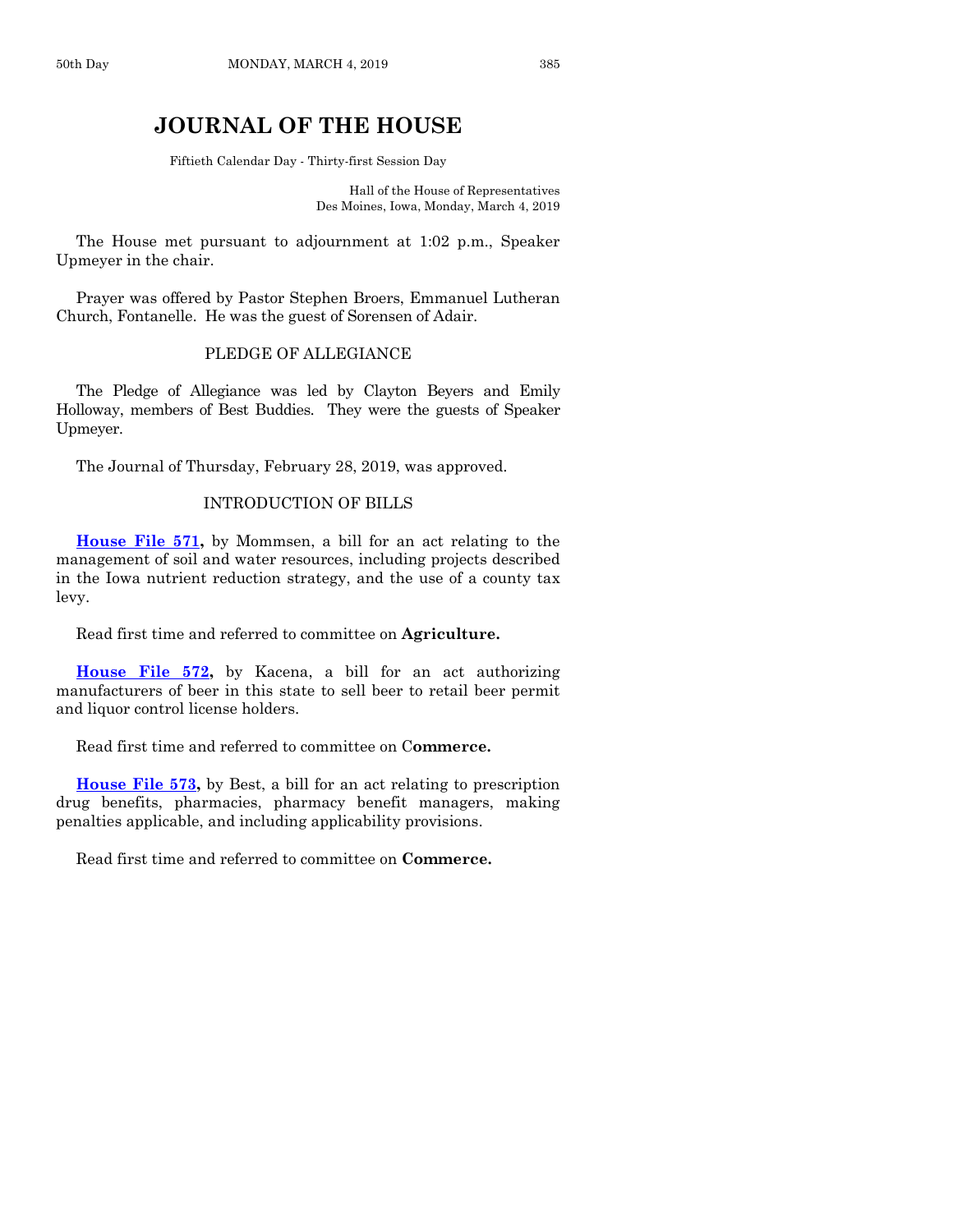# **JOURNAL OF THE HOUSE**

Fiftieth Calendar Day - Thirty-first Session Day

Hall of the House of Representatives Des Moines, Iowa, Monday, March 4, 2019

The House met pursuant to adjournment at 1:02 p.m., Speaker Upmeyer in the chair.

Prayer was offered by Pastor Stephen Broers, Emmanuel Lutheran Church, Fontanelle. He was the guest of Sorensen of Adair.

#### PLEDGE OF ALLEGIANCE

The Pledge of Allegiance was led by Clayton Beyers and Emily Holloway, members of Best Buddies. They were the guests of Speaker Upmeyer.

The Journal of Thursday, February 28, 2019, was approved.

## INTRODUCTION OF BILLS

**[House File 571,](https://www.legis.iowa.gov/legislation/BillBook?ga=88&ba=HF571)** by Mommsen, a bill for an act relating to the management of soil and water resources, including projects described in the Iowa nutrient reduction strategy, and the use of a county tax levy.

Read first time and referred to committee on **Agriculture.**

**[House File 572,](https://www.legis.iowa.gov/legislation/BillBook?ga=88&ba=HF572)** by Kacena, a bill for an act authorizing manufacturers of beer in this state to sell beer to retail beer permit and liquor control license holders.

Read first time and referred to committee on C**ommerce.**

**[House File 573,](https://www.legis.iowa.gov/legislation/BillBook?ga=88&ba=HF573)** by Best, a bill for an act relating to prescription drug benefits, pharmacies, pharmacy benefit managers, making penalties applicable, and including applicability provisions.

Read first time and referred to committee on **Commerce.**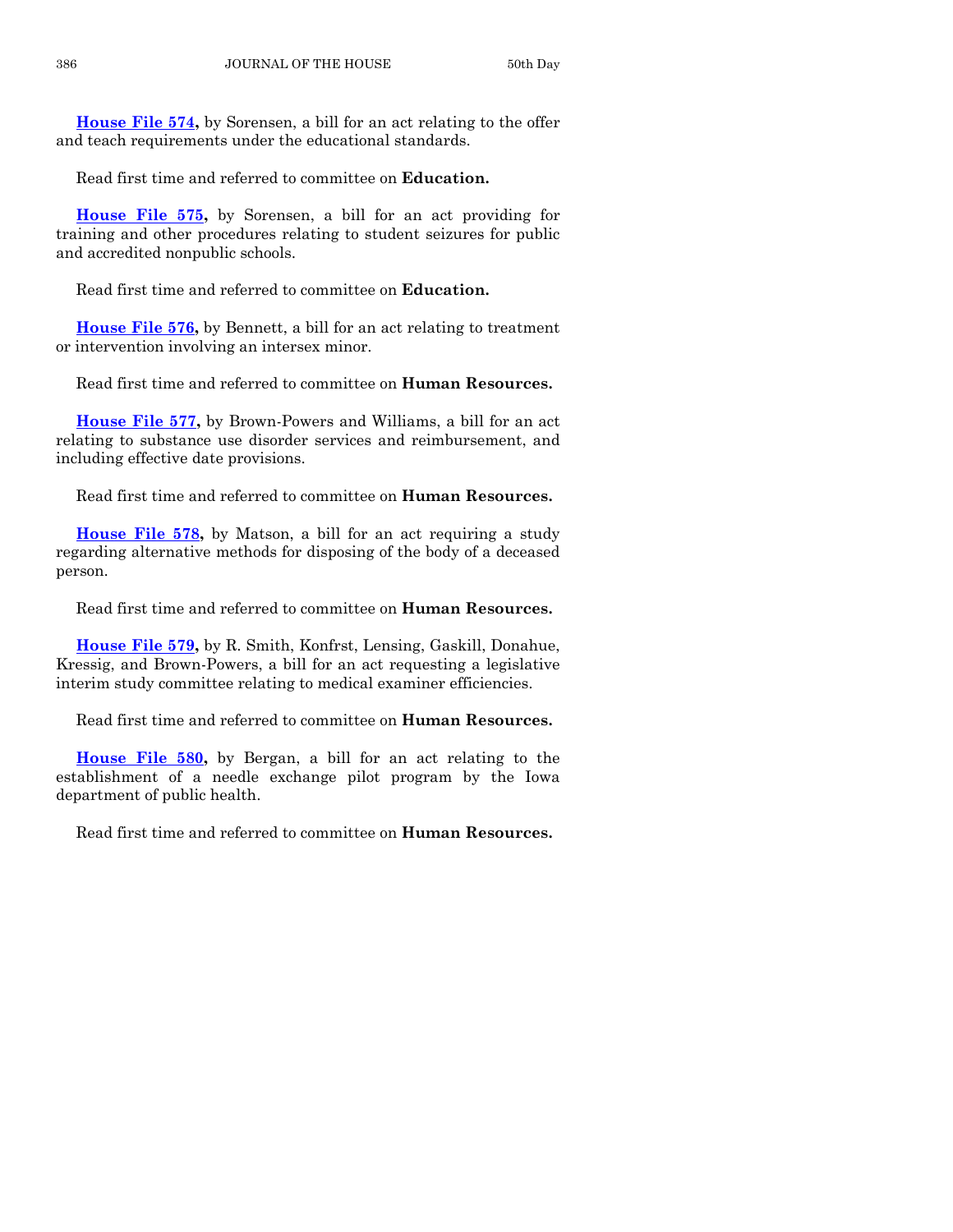**[House File 574,](https://www.legis.iowa.gov/legislation/BillBook?ga=88&ba=HF574)** by Sorensen, a bill for an act relating to the offer and teach requirements under the educational standards.

Read first time and referred to committee on **Education.**

**[House File 575,](https://www.legis.iowa.gov/legislation/BillBook?ga=88&ba=HF575)** by Sorensen, a bill for an act providing for training and other procedures relating to student seizures for public and accredited nonpublic schools.

Read first time and referred to committee on **Education.**

**[House File 576,](https://www.legis.iowa.gov/legislation/BillBook?ga=88&ba=HF576)** by Bennett, a bill for an act relating to treatment or intervention involving an intersex minor.

Read first time and referred to committee on **Human Resources.**

**[House File 577,](https://www.legis.iowa.gov/legislation/BillBook?ga=88&ba=HF577)** by Brown-Powers and Williams, a bill for an act relating to substance use disorder services and reimbursement, and including effective date provisions.

Read first time and referred to committee on **Human Resources.**

**[House File 578,](https://www.legis.iowa.gov/legislation/BillBook?ga=88&ba=HF578)** by Matson, a bill for an act requiring a study regarding alternative methods for disposing of the body of a deceased person.

Read first time and referred to committee on **Human Resources.**

**[House File 579,](https://www.legis.iowa.gov/legislation/BillBook?ga=88&ba=HF579)** by R. Smith, Konfrst, Lensing, Gaskill, Donahue, Kressig, and Brown-Powers, a bill for an act requesting a legislative interim study committee relating to medical examiner efficiencies.

Read first time and referred to committee on **Human Resources.**

**[House File 580,](https://www.legis.iowa.gov/legislation/BillBook?ga=88&ba=HF580)** by Bergan, a bill for an act relating to the establishment of a needle exchange pilot program by the Iowa department of public health.

Read first time and referred to committee on **Human Resources.**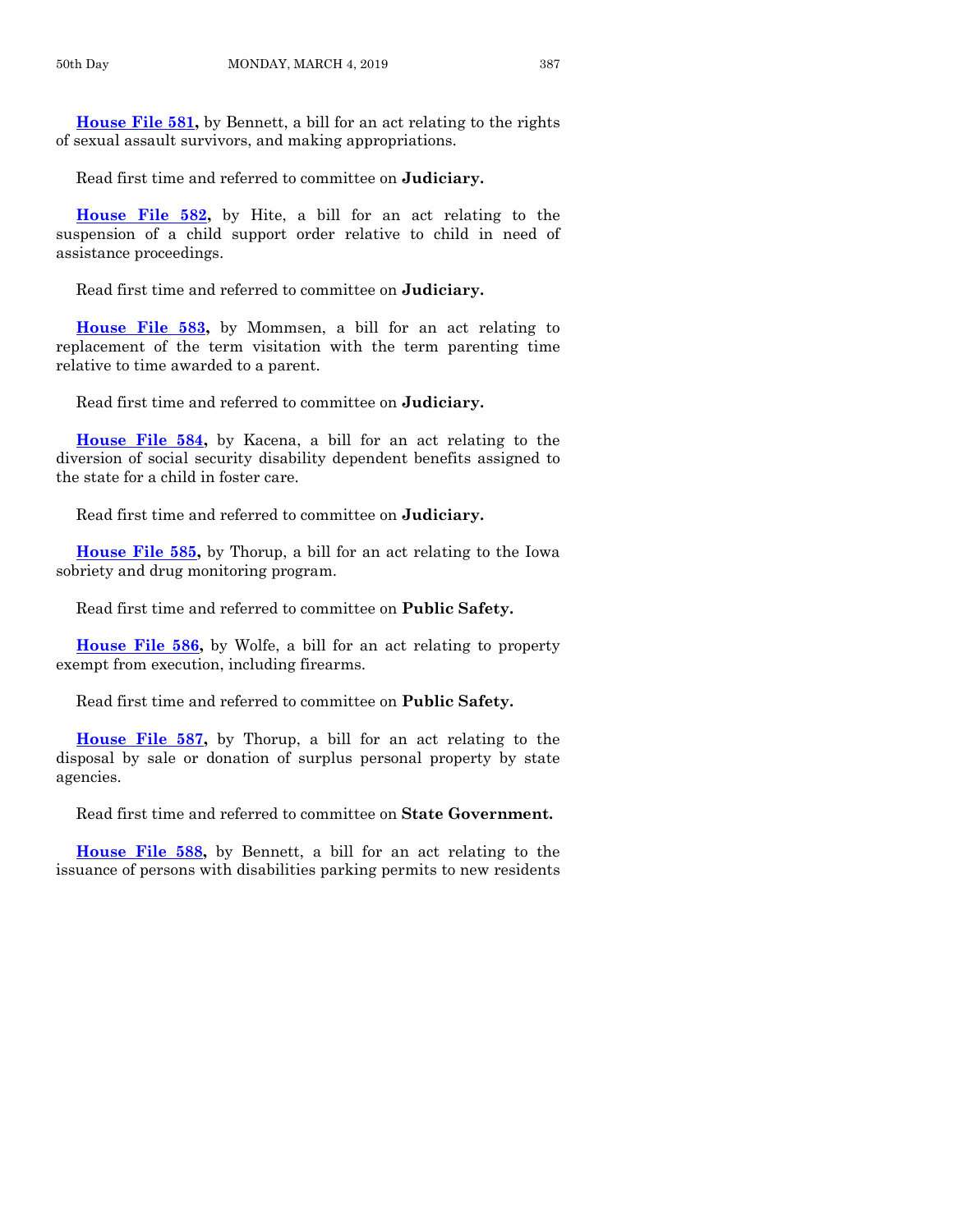**[House File 581,](https://www.legis.iowa.gov/legislation/BillBook?ga=88&ba=HF581)** by Bennett, a bill for an act relating to the rights of sexual assault survivors, and making appropriations.

Read first time and referred to committee on **Judiciary.**

**[House File 582,](https://www.legis.iowa.gov/legislation/BillBook?ga=88&ba=HF582)** by Hite, a bill for an act relating to the suspension of a child support order relative to child in need of assistance proceedings.

Read first time and referred to committee on **Judiciary.**

**[House File 583,](https://www.legis.iowa.gov/legislation/BillBook?ga=88&ba=HF583)** by Mommsen, a bill for an act relating to replacement of the term visitation with the term parenting time relative to time awarded to a parent.

Read first time and referred to committee on **Judiciary.**

**[House File 584,](https://www.legis.iowa.gov/legislation/BillBook?ga=88&ba=HF584)** by Kacena, a bill for an act relating to the diversion of social security disability dependent benefits assigned to the state for a child in foster care.

Read first time and referred to committee on **Judiciary.**

**[House File 585,](https://www.legis.iowa.gov/legislation/BillBook?ga=88&ba=HF585)** by Thorup, a bill for an act relating to the Iowa sobriety and drug monitoring program.

Read first time and referred to committee on **Public Safety.**

**[House File 586,](https://www.legis.iowa.gov/legislation/BillBook?ga=88&ba=HF586)** by Wolfe, a bill for an act relating to property exempt from execution, including firearms.

Read first time and referred to committee on **Public Safety.**

**[House File 587,](https://www.legis.iowa.gov/legislation/BillBook?ga=88&ba=HF587)** by Thorup, a bill for an act relating to the disposal by sale or donation of surplus personal property by state agencies.

Read first time and referred to committee on **State Government.**

**[House File 588,](https://www.legis.iowa.gov/legislation/BillBook?ga=88&ba=HF588)** by Bennett, a bill for an act relating to the issuance of persons with disabilities parking permits to new residents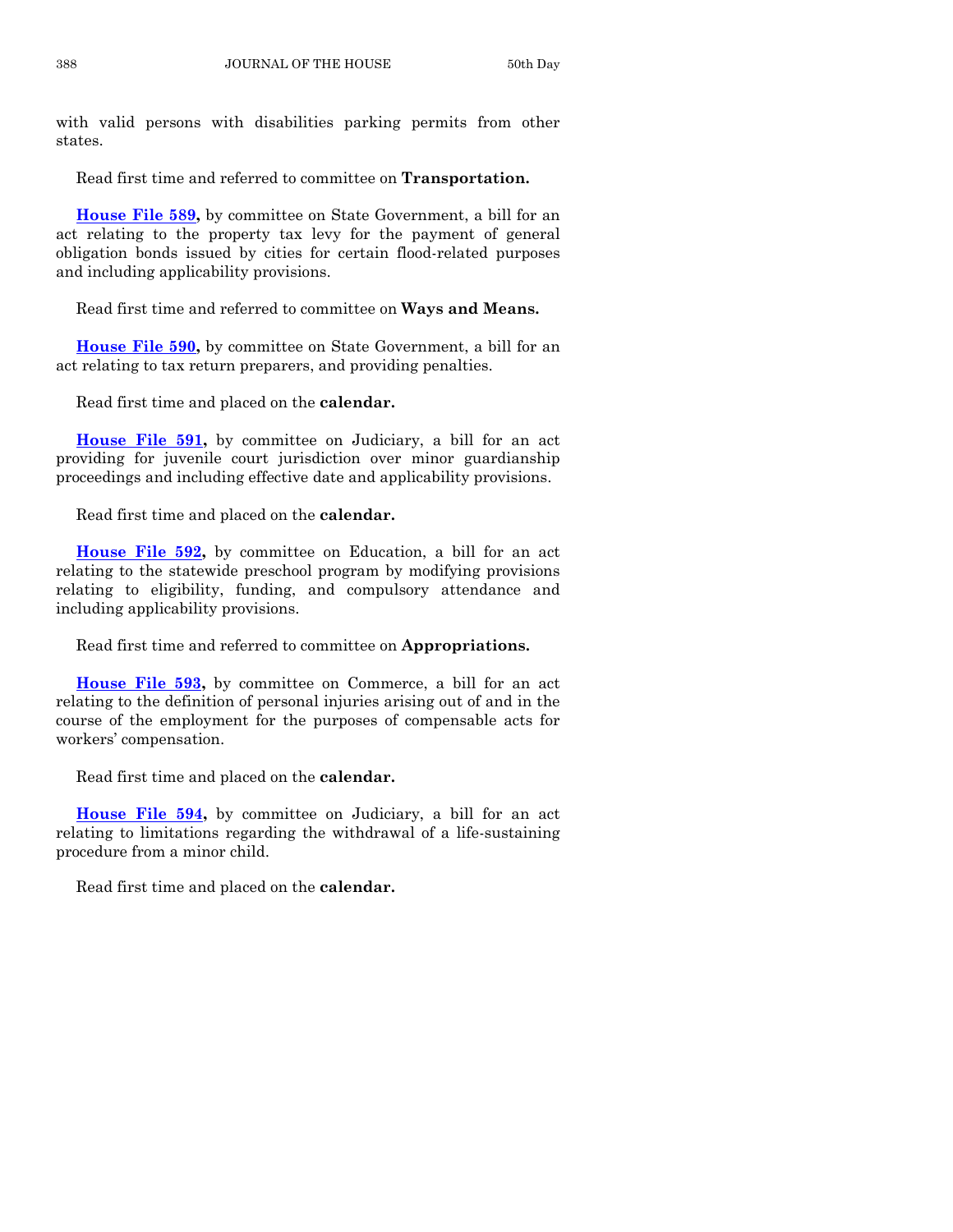with valid persons with disabilities parking permits from other states.

Read first time and referred to committee on **Transportation.**

**[House File 589,](https://www.legis.iowa.gov/legislation/BillBook?ga=88&ba=HF589)** by committee on State Government, a bill for an act relating to the property tax levy for the payment of general obligation bonds issued by cities for certain flood-related purposes and including applicability provisions.

Read first time and referred to committee on **Ways and Means.**

**[House File 590,](https://www.legis.iowa.gov/legislation/BillBook?ga=88&ba=HF590)** by committee on State Government, a bill for an act relating to tax return preparers, and providing penalties.

Read first time and placed on the **calendar.**

**[House File 591,](https://www.legis.iowa.gov/legislation/BillBook?ga=88&ba=HF591)** by committee on Judiciary, a bill for an act providing for juvenile court jurisdiction over minor guardianship proceedings and including effective date and applicability provisions.

Read first time and placed on the **calendar.**

**[House File 592,](https://www.legis.iowa.gov/legislation/BillBook?ga=88&ba=HF592)** by committee on Education, a bill for an act relating to the statewide preschool program by modifying provisions relating to eligibility, funding, and compulsory attendance and including applicability provisions.

Read first time and referred to committee on **Appropriations.**

**[House File 593,](https://www.legis.iowa.gov/legislation/BillBook?ga=88&ba=HF593)** by committee on Commerce, a bill for an act relating to the definition of personal injuries arising out of and in the course of the employment for the purposes of compensable acts for workers' compensation.

Read first time and placed on the **calendar.**

**[House File 594,](https://www.legis.iowa.gov/legislation/BillBook?ga=88&ba=HF594)** by committee on Judiciary, a bill for an act relating to limitations regarding the withdrawal of a life-sustaining procedure from a minor child.

Read first time and placed on the **calendar.**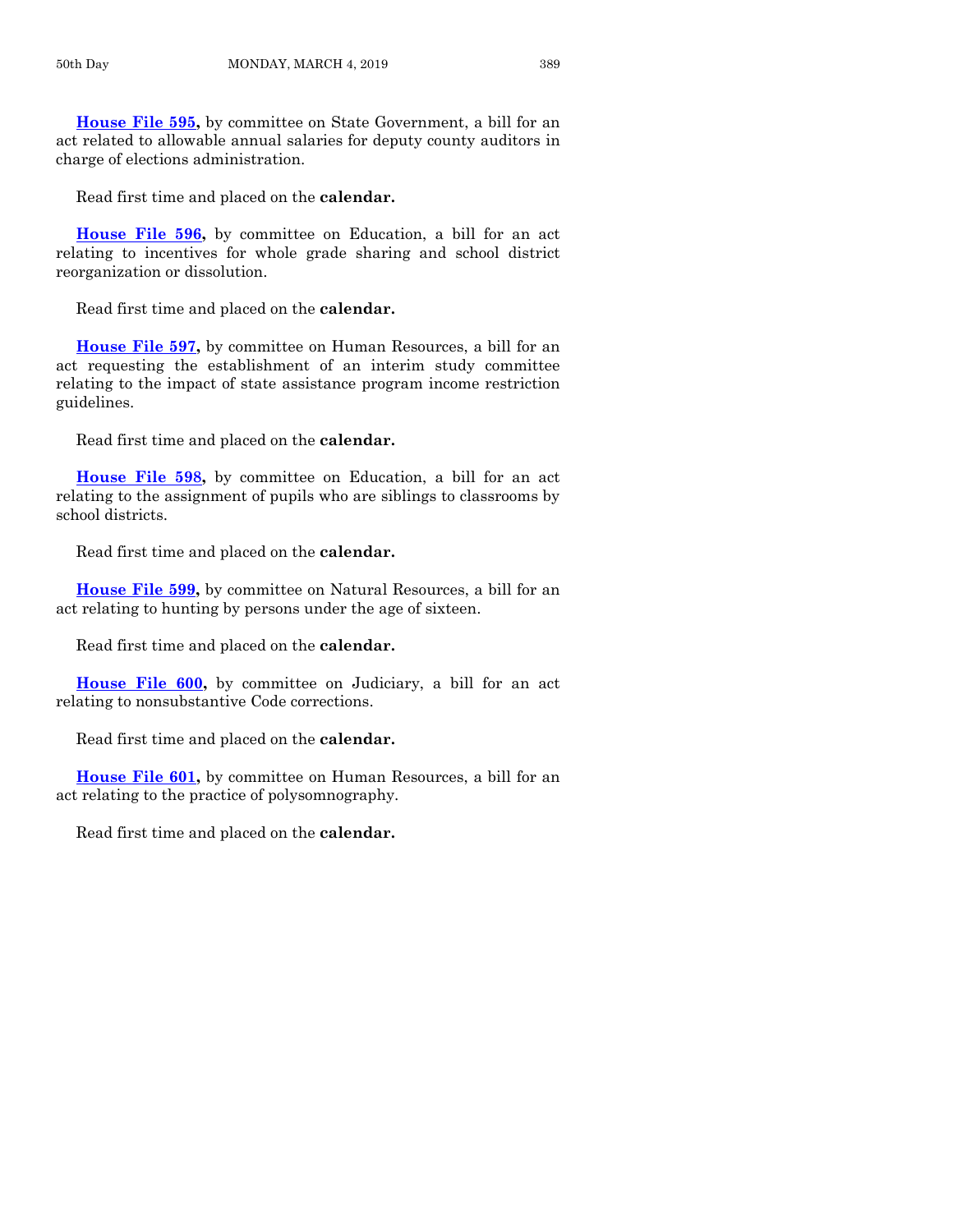**[House File 595,](https://www.legis.iowa.gov/legislation/BillBook?ga=88&ba=HF595)** by committee on State Government, a bill for an act related to allowable annual salaries for deputy county auditors in charge of elections administration.

Read first time and placed on the **calendar.**

**[House File 596,](https://www.legis.iowa.gov/legislation/BillBook?ga=88&ba=HF596)** by committee on Education, a bill for an act relating to incentives for whole grade sharing and school district reorganization or dissolution.

Read first time and placed on the **calendar.**

**[House File 597,](https://www.legis.iowa.gov/legislation/BillBook?ga=88&ba=HF597)** by committee on Human Resources, a bill for an act requesting the establishment of an interim study committee relating to the impact of state assistance program income restriction guidelines.

Read first time and placed on the **calendar.**

**[House File 598,](https://www.legis.iowa.gov/legislation/BillBook?ga=88&ba=HF598)** by committee on Education, a bill for an act relating to the assignment of pupils who are siblings to classrooms by school districts.

Read first time and placed on the **calendar.**

**[House File 599,](https://www.legis.iowa.gov/legislation/BillBook?ga=88&ba=HF599)** by committee on Natural Resources, a bill for an act relating to hunting by persons under the age of sixteen.

Read first time and placed on the **calendar.**

**[House File 600,](https://www.legis.iowa.gov/legislation/BillBook?ga=88&ba=HF600)** by committee on Judiciary, a bill for an act relating to nonsubstantive Code corrections.

Read first time and placed on the **calendar.**

**[House File 601,](https://www.legis.iowa.gov/legislation/BillBook?ga=88&ba=HF601)** by committee on Human Resources, a bill for an act relating to the practice of polysomnography.

Read first time and placed on the **calendar.**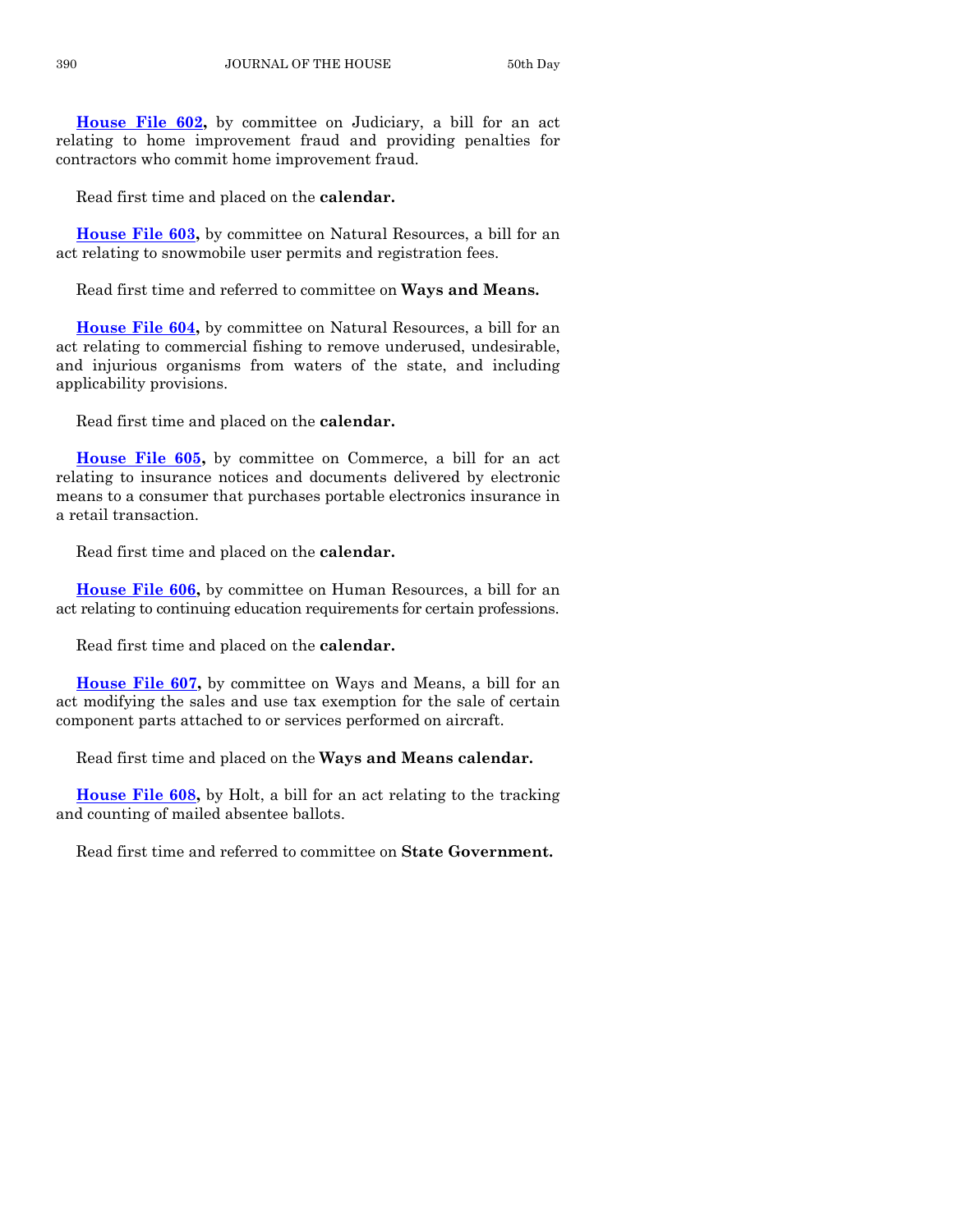**[House File 602,](https://www.legis.iowa.gov/legislation/BillBook?ga=88&ba=HF602)** by committee on Judiciary, a bill for an act relating to home improvement fraud and providing penalties for contractors who commit home improvement fraud.

Read first time and placed on the **calendar.**

**[House File 603,](https://www.legis.iowa.gov/legislation/BillBook?ga=88&ba=HF603)** by committee on Natural Resources, a bill for an act relating to snowmobile user permits and registration fees.

Read first time and referred to committee on **Ways and Means.**

**[House File 604,](https://www.legis.iowa.gov/legislation/BillBook?ga=88&ba=HF604)** by committee on Natural Resources, a bill for an act relating to commercial fishing to remove underused, undesirable, and injurious organisms from waters of the state, and including applicability provisions.

Read first time and placed on the **calendar.**

**[House File 605,](https://www.legis.iowa.gov/legislation/BillBook?ga=88&ba=HF605)** by committee on Commerce, a bill for an act relating to insurance notices and documents delivered by electronic means to a consumer that purchases portable electronics insurance in a retail transaction.

Read first time and placed on the **calendar.**

**[House File 606,](https://www.legis.iowa.gov/legislation/BillBook?ga=88&ba=HF606)** by committee on Human Resources, a bill for an act relating to continuing education requirements for certain professions.

Read first time and placed on the **calendar.**

**[House File 607,](https://www.legis.iowa.gov/legislation/BillBook?ga=88&ba=HF607)** by committee on Ways and Means, a bill for an act modifying the sales and use tax exemption for the sale of certain component parts attached to or services performed on aircraft.

Read first time and placed on the **Ways and Means calendar.**

**[House File 608,](https://www.legis.iowa.gov/legislation/BillBook?ga=88&ba=HF608)** by Holt, a bill for an act relating to the tracking and counting of mailed absentee ballots.

Read first time and referred to committee on **State Government.**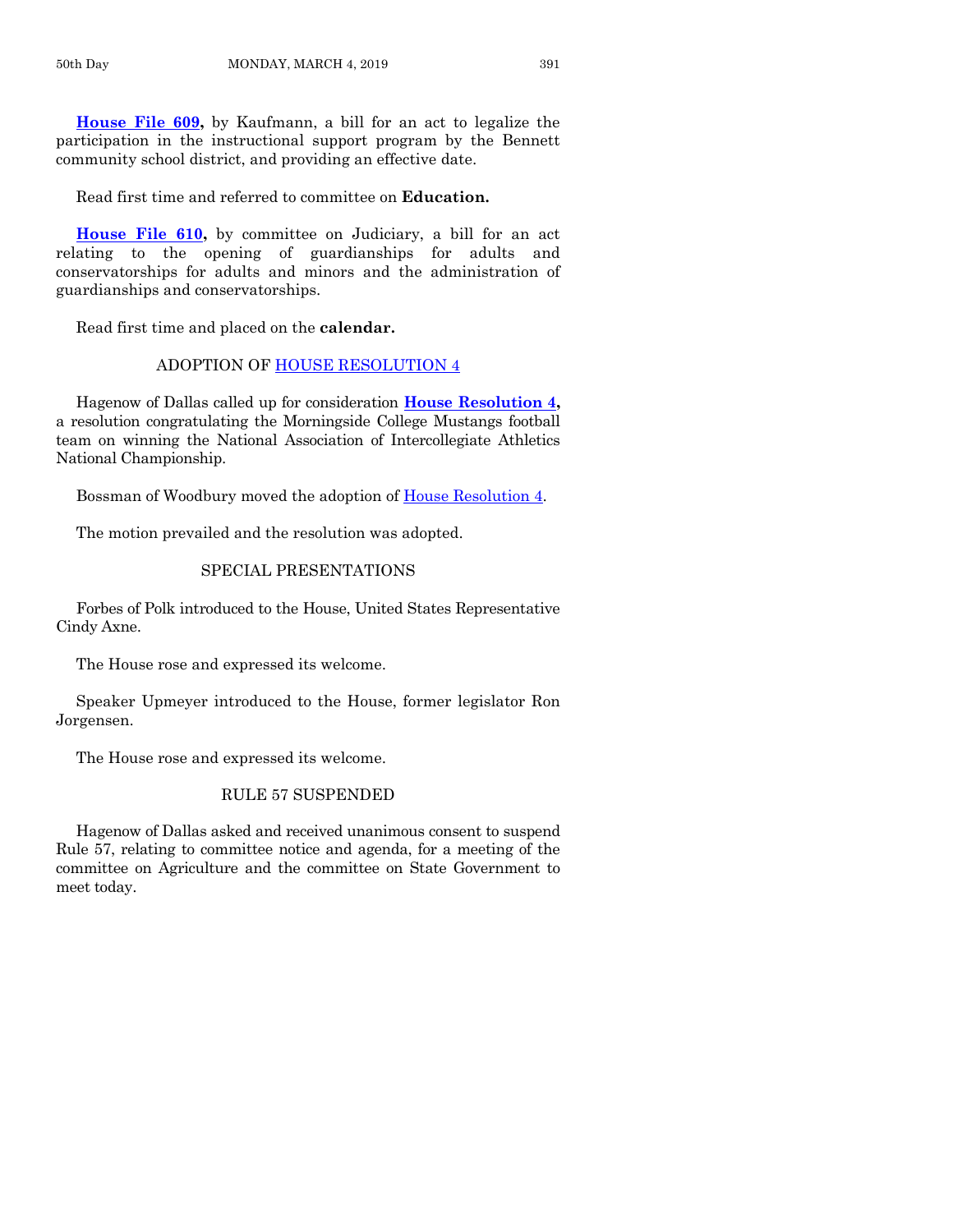**[House File 609,](https://www.legis.iowa.gov/legislation/BillBook?ga=88&ba=HF609)** by Kaufmann, a bill for an act to legalize the participation in the instructional support program by the Bennett community school district, and providing an effective date.

Read first time and referred to committee on **Education.**

**[House File 610,](https://www.legis.iowa.gov/legislation/BillBook?ga=88&ba=HF610)** by committee on Judiciary, a bill for an act relating to the opening of guardianships for adults and conservatorships for adults and minors and the administration of guardianships and conservatorships.

Read first time and placed on the **calendar.**

#### ADOPTION OF [HOUSE RESOLUTION 4](https://www.legis.iowa.gov/legislation/BillBook?ga=88&ba=HR4)

Hagenow of Dallas called up for consideration **[House Resolution 4,](https://www.legis.iowa.gov/legislation/BillBook?ga=88&ba=HR4)** a resolution congratulating the Morningside College Mustangs football team on winning the National Association of Intercollegiate Athletics National Championship.

Bossman of Woodbury moved the adoption of [House Resolution 4.](https://www.legis.iowa.gov/legislation/BillBook?ga=88&ba=HR4)

The motion prevailed and the resolution was adopted.

#### SPECIAL PRESENTATIONS

Forbes of Polk introduced to the House, United States Representative Cindy Axne.

The House rose and expressed its welcome.

Speaker Upmeyer introduced to the House, former legislator Ron Jorgensen.

The House rose and expressed its welcome.

# RULE 57 SUSPENDED

Hagenow of Dallas asked and received unanimous consent to suspend Rule 57, relating to committee notice and agenda, for a meeting of the committee on Agriculture and the committee on State Government to meet today.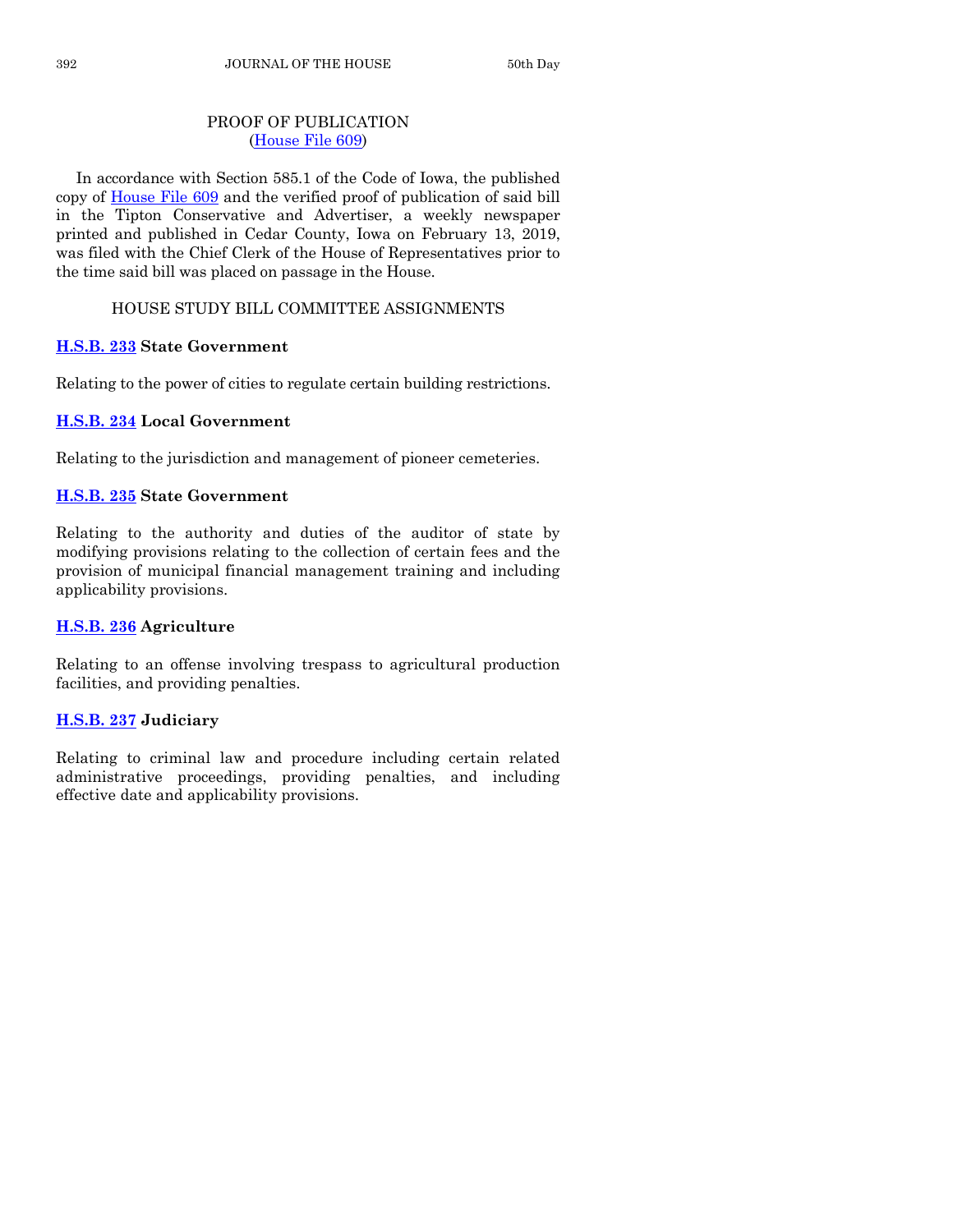# PROOF OF PUBLICATION [\(House File 609\)](https://www.legis.iowa.gov/legislation/BillBook?ga=88&ba=HF609)

In accordance with Section 585.1 of the Code of Iowa, the published copy of [House File 609](https://www.legis.iowa.gov/legislation/BillBook?ga=88&ba=HF609) and the verified proof of publication of said bill in the Tipton Conservative and Advertiser, a weekly newspaper printed and published in Cedar County, Iowa on February 13, 2019, was filed with the Chief Clerk of the House of Representatives prior to the time said bill was placed on passage in the House.

# HOUSE STUDY BILL COMMITTEE ASSIGNMENTS

# **[H.S.B. 233](https://www.legis.iowa.gov/legislation/BillBook?ga=88&ba=HSB233) State Government**

Relating to the power of cities to regulate certain building restrictions.

# **[H.S.B. 234](https://www.legis.iowa.gov/legislation/BillBook?ga=88&ba=HSB234) Local Government**

Relating to the jurisdiction and management of pioneer cemeteries.

# **[H.S.B. 235](https://www.legis.iowa.gov/legislation/BillBook?ga=88&ba=HSB235) State Government**

Relating to the authority and duties of the auditor of state by modifying provisions relating to the collection of certain fees and the provision of municipal financial management training and including applicability provisions.

# **[H.S.B. 236](https://www.legis.iowa.gov/legislation/BillBook?ga=88&ba=HSB236) Agriculture**

Relating to an offense involving trespass to agricultural production facilities, and providing penalties.

# **[H.S.B. 237](https://www.legis.iowa.gov/legislation/BillBook?ga=88&ba=HSB237) Judiciary**

Relating to criminal law and procedure including certain related administrative proceedings, providing penalties, and including effective date and applicability provisions.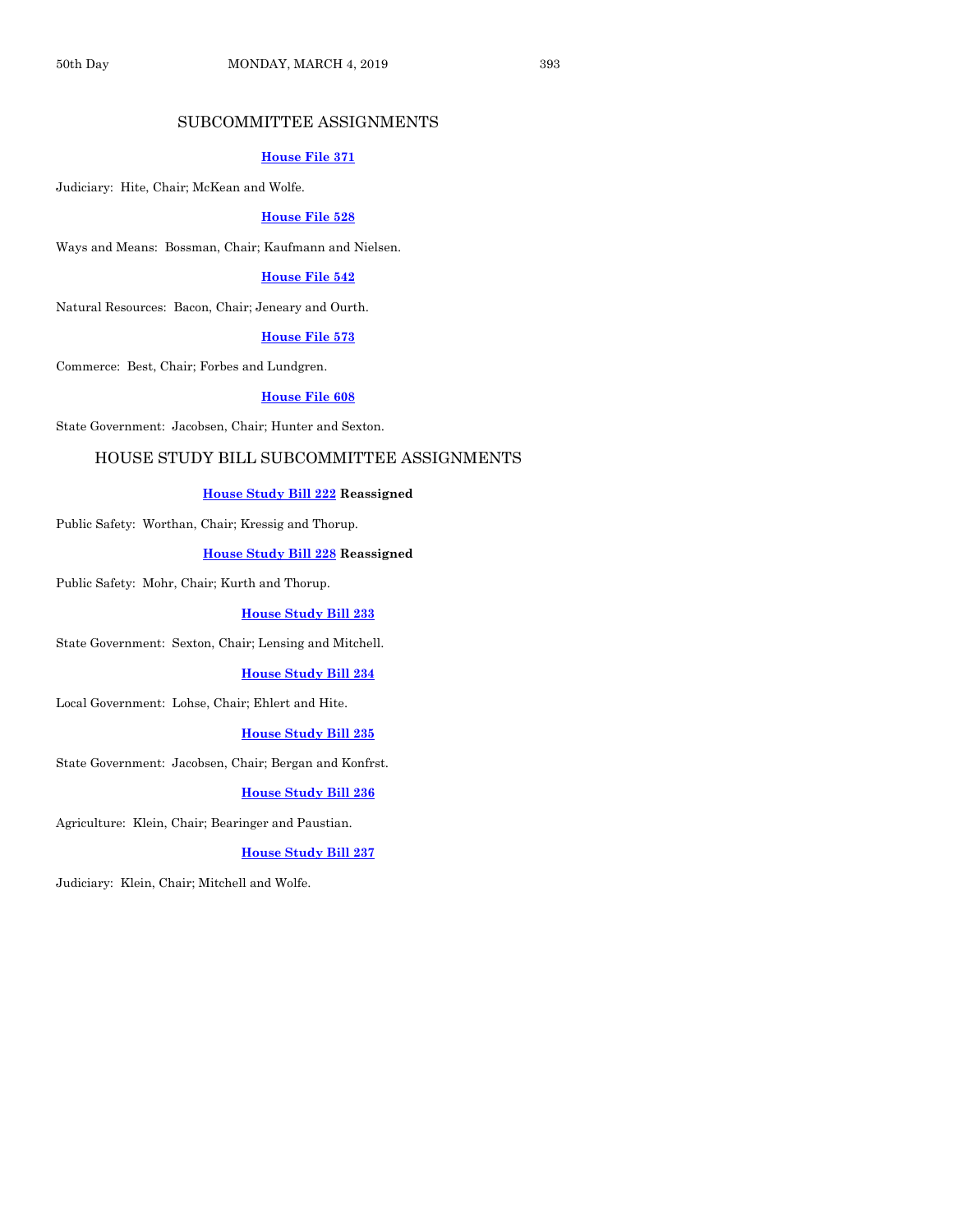# SUBCOMMITTEE ASSIGNMENTS

#### **[House File 371](https://www.legis.iowa.gov/legislation/BillBook?ga=88&ba=HF371)**

Judiciary: Hite, Chair; McKean and Wolfe.

#### **[House File 528](https://www.legis.iowa.gov/legislation/BillBook?ga=88&ba=HF528)**

Ways and Means: Bossman, Chair; Kaufmann and Nielsen.

## **[House File 542](https://www.legis.iowa.gov/legislation/BillBook?ga=88&ba=HF542)**

Natural Resources: Bacon, Chair; Jeneary and Ourth.

#### **[House File 573](https://www.legis.iowa.gov/legislation/BillBook?ga=88&ba=HF573)**

Commerce: Best, Chair; Forbes and Lundgren.

#### **[House File 608](https://www.legis.iowa.gov/legislation/BillBook?ga=88&ba=HF608)**

State Government: Jacobsen, Chair; Hunter and Sexton.

#### HOUSE STUDY BILL SUBCOMMITTEE ASSIGNMENTS

#### **[House Study Bill 222](https://www.legis.iowa.gov/legislation/BillBook?ga=88&ba=HSB222) Reassigned**

Public Safety: Worthan, Chair; Kressig and Thorup.

#### **[House Study Bill 228](https://www.legis.iowa.gov/legislation/BillBook?ga=88&ba=HSB228) Reassigned**

Public Safety: Mohr, Chair; Kurth and Thorup.

#### **[House Study Bill 233](https://www.legis.iowa.gov/legislation/BillBook?ga=88&ba=HSB233)**

State Government: Sexton, Chair; Lensing and Mitchell.

#### **[House Study Bill 234](https://www.legis.iowa.gov/legislation/BillBook?ga=88&ba=HSB234)**

Local Government: Lohse, Chair; Ehlert and Hite.

#### **[House Study Bill 235](https://www.legis.iowa.gov/legislation/BillBook?ga=88&ba=HSB235)**

State Government: Jacobsen, Chair; Bergan and Konfrst.

#### **[House Study Bill 236](https://www.legis.iowa.gov/legislation/BillBook?ga=88&ba=HSB236)**

Agriculture: Klein, Chair; Bearinger and Paustian.

#### **[House Study Bill 237](https://www.legis.iowa.gov/legislation/BillBook?ga=88&ba=HSB237)**

Judiciary: Klein, Chair; Mitchell and Wolfe.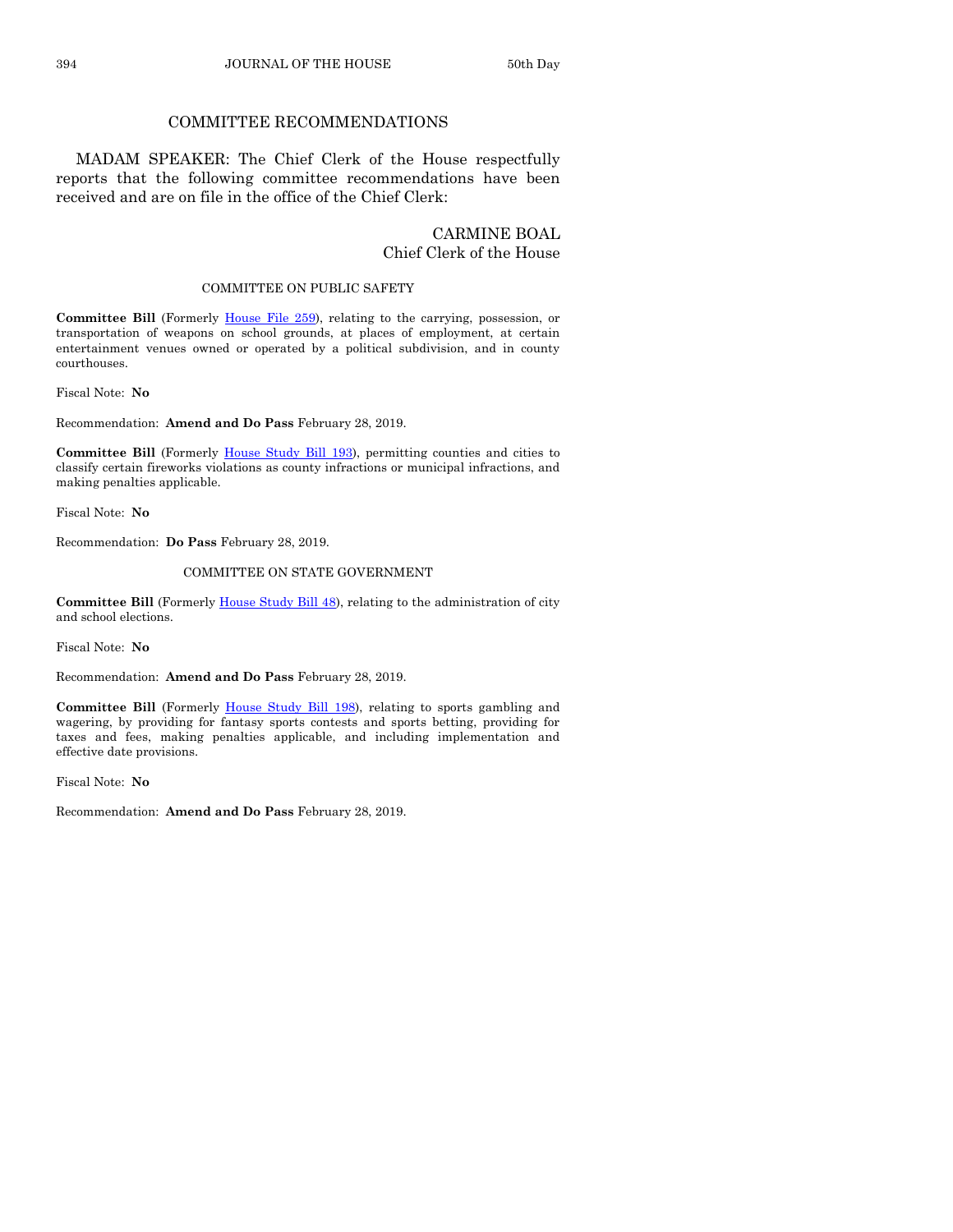## COMMITTEE RECOMMENDATIONS

MADAM SPEAKER: The Chief Clerk of the House respectfully reports that the following committee recommendations have been received and are on file in the office of the Chief Clerk:

# CARMINE BOAL Chief Clerk of the House

#### COMMITTEE ON PUBLIC SAFETY

**Committee Bill** (Formerly [House File 259\)](https://www.legis.iowa.gov/legislation/BillBook?ga=88&ba=HF259), relating to the carrying, possession, or transportation of weapons on school grounds, at places of employment, at certain entertainment venues owned or operated by a political subdivision, and in county courthouses.

Fiscal Note: **No**

Recommendation: **Amend and Do Pass** February 28, 2019.

**Committee Bill** (Formerly [House Study Bill 193\)](https://www.legis.iowa.gov/legislation/BillBook?ga=88&ba=HSB193), permitting counties and cities to classify certain fireworks violations as county infractions or municipal infractions, and making penalties applicable.

Fiscal Note: **No**

Recommendation: **Do Pass** February 28, 2019.

#### COMMITTEE ON STATE GOVERNMENT

**Committee Bill** (Formerly [House Study Bill 48\)](https://www.legis.iowa.gov/legislation/BillBook?ga=88&ba=HSB48), relating to the administration of city and school elections.

Fiscal Note: **No**

Recommendation: **Amend and Do Pass** February 28, 2019.

**Committee Bill** (Formerly [House Study Bill 198\),](https://www.legis.iowa.gov/legislation/BillBook?ga=88&ba=HSB198) relating to sports gambling and wagering, by providing for fantasy sports contests and sports betting, providing for taxes and fees, making penalties applicable, and including implementation and effective date provisions.

Fiscal Note: **No**

Recommendation: **Amend and Do Pass** February 28, 2019.